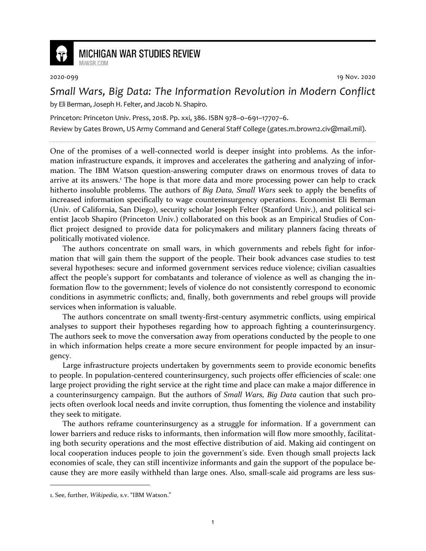

## **MICHIGAN WAR STUDIES REVIEW** MiWSR COM

2020-099 19 Nov. 2020

*Small Wars, Big Data: The Information Revolution in Modern Conflict* by Eli Berman, Joseph H. Felter, and Jacob N. Shapiro.

Princeton: Princeton Univ. Press, 2018. Pp. xxi, 386. ISBN 978–0–691–17707–6.

Review by Gates Brown, US Army Command and General Staff College (gates.m.brown2.civ@mail.mil).

One of the promises of a well-connected world is deeper insight into problems. As the information infrastructure expands, it improves and accelerates the gathering and analyzing of information. The IBM Watson question-answering computer draws on enormous troves of data to arrive at its answers.<sup>1</sup> The hope is that more data and more processing power can help to crack hitherto insoluble problems. The authors of *Big Data, Small Wars* seek to apply the benefits of increased information specifically to wage counterinsurgency operations. Economist Eli Berman (Univ. of California, San Diego), security scholar Joseph Felter (Stanford Univ.), and political scientist Jacob Shapiro (Princeton Univ.) collaborated on this book as an Empirical Studies of Conflict project designed to provide data for policymakers and military planners facing threats of politically motivated violence.

The authors concentrate on small wars, in which governments and rebels fight for information that will gain them the support of the people. Their book advances case studies to test several hypotheses: secure and informed government services reduce violence; civilian casualties affect the people's support for combatants and tolerance of violence as well as changing the information flow to the government; levels of violence do not consistently correspond to economic conditions in asymmetric conflicts; and, finally, both governments and rebel groups will provide services when information is valuable.

The authors concentrate on small twenty-first-century asymmetric conflicts, using empirical analyses to support their hypotheses regarding how to approach fighting a counterinsurgency. The authors seek to move the conversation away from operations conducted by the people to one in which information helps create a more secure environment for people impacted by an insurgency.

Large infrastructure projects undertaken by governments seem to provide economic benefits to people. In population-centered counterinsurgency, such projects offer efficiencies of scale: one large project providing the right service at the right time and place can make a major difference in a counterinsurgency campaign. But the authors of *Small Wars, Big Data* caution that such projects often overlook local needs and invite corruption, thus fomenting the violence and instability they seek to mitigate.

The authors reframe counterinsurgency as a struggle for information. If a government can lower barriers and reduce risks to informants, then information will flow more smoothly, facilitating both security operations and the most effective distribution of aid. Making aid contingent on local cooperation induces people to join the government's side. Even though small projects lack economies of scale, they can still incentivize informants and gain the support of the populace because they are more easily withheld than large ones. Also, small-scale aid programs are less sus-

<sup>1.</sup> See, further, *Wikipedia*, s.v. "IBM Watson."